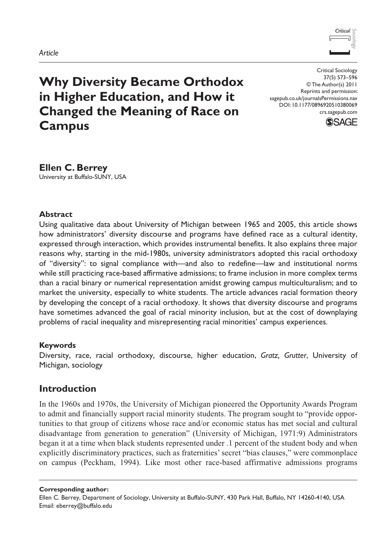

**Why Diversity Became Orthodox in Higher Education, and How it Changed the Meaning of Race on Campus**

Critical Sociology 37(5) 573–596 © The Author(s) 2011 Reprints and permission: sagepub.co.uk/journalsPermissions.nav DOI: 10.1177/0896920510380069 crs.sagepub.com



**Ellen C. Berrey** University at Buffalo-SUNY, USA

#### **Abstract**

Using qualitative data about University of Michigan between 1965 and 2005, this article shows how administrators' diversity discourse and programs have defined race as a cultural identity, expressed through interaction, which provides instrumental benefits. It also explains three major reasons why, starting in the mid-1980s, university administrators adopted this racial orthodoxy of "diversity": to signal compliance with—and also to redefine—law and institutional norms while still practicing race-based affirmative admissions; to frame inclusion in more complex terms than a racial binary or numerical representation amidst growing campus multiculturalism; and to market the university, especially to white students. The article advances racial formation theory by developing the concept of a racial orthodoxy. It shows that diversity discourse and programs have sometimes advanced the goal of racial minority inclusion, but at the cost of downplaying problems of racial inequality and misrepresenting racial minorities' campus experiences.

### **Keywords**

Diversity, race, racial orthodoxy, discourse, higher education, *Gratz, Grutter*, University of Michigan, sociology

# **Introduction**

In the 1960s and 1970s, the University of Michigan pioneered the Opportunity Awards Program to admit and financially support racial minority students. The program sought to "provide opportunities to that group of citizens whose race and/or economic status has met social and cultural disadvantage from generation to generation" (University of Michigan, 1971:9) Administrators began it at a time when black students represented under .1 percent of the student body and when explicitly discriminatory practices, such as fraternities' secret "bias clauses," were commonplace on campus (Peckham, 1994). Like most other race-based affirmative admissions programs

#### **Corresponding author:**

Ellen C. Berrey, Department of Sociology, University at Buffalo-SUNY, 430 Park Hall, Buffalo, NY 14260-4140, USA Email: eberrey@buffalo.edu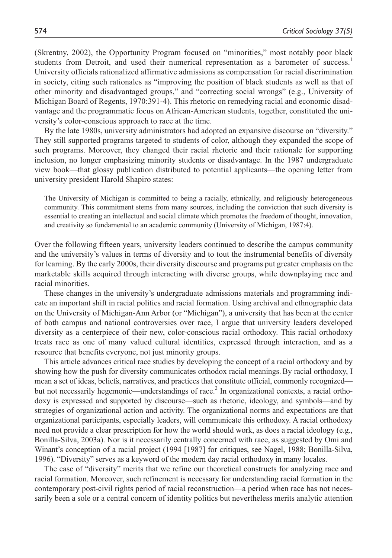(Skrentny, 2002), the Opportunity Program focused on "minorities," most notably poor black students from Detroit, and used their numerical representation as a barometer of success.<sup>1</sup> University officials rationalized affirmative admissions as compensation for racial discrimination in society, citing such rationales as "improving the position of black students as well as that of other minority and disadvantaged groups," and "correcting social wrongs" (e.g., University of Michigan Board of Regents, 1970:391-4). This rhetoric on remedying racial and economic disadvantage and the programmatic focus on African-American students, together, constituted the university's color-conscious approach to race at the time.

By the late 1980s, university administrators had adopted an expansive discourse on "diversity." They still supported programs targeted to students of color, although they expanded the scope of such programs. Moreover, they changed their racial rhetoric and their rationale for supporting inclusion, no longer emphasizing minority students or disadvantage. In the 1987 undergraduate view book—that glossy publication distributed to potential applicants—the opening letter from university president Harold Shapiro states:

The University of Michigan is committed to being a racially, ethnically, and religiously heterogeneous community. This commitment stems from many sources, including the conviction that such diversity is essential to creating an intellectual and social climate which promotes the freedom of thought, innovation, and creativity so fundamental to an academic community (University of Michigan, 1987:4).

Over the following fifteen years, university leaders continued to describe the campus community and the university's values in terms of diversity and to tout the instrumental benefits of diversity for learning. By the early 2000s, their diversity discourse and programs put greater emphasis on the marketable skills acquired through interacting with diverse groups, while downplaying race and racial minorities.

These changes in the university's undergraduate admissions materials and programming indicate an important shift in racial politics and racial formation. Using archival and ethnographic data on the University of Michigan-Ann Arbor (or "Michigan"), a university that has been at the center of both campus and national controversies over race, I argue that university leaders developed diversity as a centerpiece of their new, color-conscious racial orthodoxy. This racial orthodoxy treats race as one of many valued cultural identities, expressed through interaction, and as a resource that benefits everyone, not just minority groups.

This article advances critical race studies by developing the concept of a racial orthodoxy and by showing how the push for diversity communicates orthodox racial meanings.By racial orthodoxy, I mean a set of ideas, beliefs, narratives, and practices that constitute official, commonly recognized but not necessarily hegemonic—understandings of race.<sup>2</sup> In organizational contexts, a racial orthodoxy is expressed and supported by discourse—such as rhetoric, ideology, and symbols—and by strategies of organizational action and activity. The organizational norms and expectations are that organizational participants, especially leaders, will communicate this orthodoxy. A racial orthodoxy need not provide a clear prescription for how the world should work, as does a racial ideology (e.g., Bonilla-Silva, 2003a). Nor is it necessarily centrally concerned with race, as suggested by Omi and Winant's conception of a racial project (1994 [1987] for critiques, see Nagel, 1988; Bonilla-Silva, 1996). "Diversity" serves as a keyword of the modern day racial orthodoxy in many locales.

The case of "diversity" merits that we refine our theoretical constructs for analyzing race and racial formation. Moreover, such refinement is necessary for understanding racial formation in the contemporary post-civil rights period of racial reconstruction—a period when race has not necessarily been a sole or a central concern of identity politics but nevertheless merits analytic attention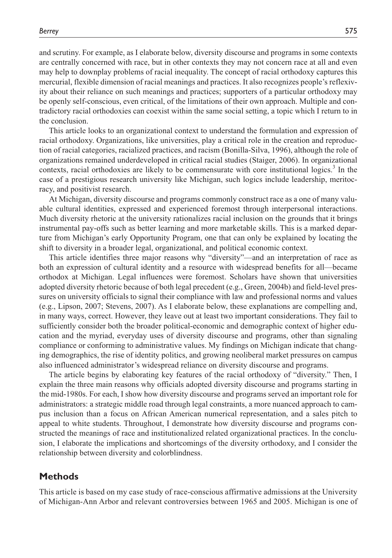and scrutiny. For example, as I elaborate below, diversity discourse and programs in some contexts are centrally concerned with race, but in other contexts they may not concern race at all and even may help to downplay problems of racial inequality. The concept of racial orthodoxy captures this mercurial, flexible dimension of racial meanings and practices. It also recognizes people's reflexivity about their reliance on such meanings and practices; supporters of a particular orthodoxy may be openly self-conscious, even critical, of the limitations of their own approach. Multiple and contradictory racial orthodoxies can coexist within the same social setting, a topic which I return to in the conclusion.

This article looks to an organizational context to understand the formulation and expression of racial orthodoxy. Organizations, like universities, play a critical role in the creation and reproduction of racial categories, racialized practices, and racism (Bonilla-Silva, 1996), although the role of organizations remained underdeveloped in critical racial studies (Staiger, 2006). In organizational contexts, racial orthodoxies are likely to be commensurate with core institutional logics.<sup>3</sup> In the case of a prestigious research university like Michigan, such logics include leadership, meritocracy, and positivist research.

At Michigan, diversity discourse and programs commonly construct race as a one of many valuable cultural identities, expressed and experienced foremost through interpersonal interactions. Much diversity rhetoric at the university rationalizes racial inclusion on the grounds that it brings instrumental pay-offs such as better learning and more marketable skills. This is a marked departure from Michigan's early Opportunity Program, one that can only be explained by locating the shift to diversity in a broader legal, organizational, and political economic context.

This article identifies three major reasons why "diversity"—and an interpretation of race as both an expression of cultural identity and a resource with widespread benefits for all—became orthodox at Michigan. Legal influences were foremost. Scholars have shown that universities adopted diversity rhetoric because of both legal precedent (e.g., Green, 2004b) and field-level pressures on university officials to signal their compliance with law and professional norms and values (e.g., Lipson, 2007; Stevens, 2007). As I elaborate below, these explanations are compelling and, in many ways, correct. However, they leave out at least two important considerations. They fail to sufficiently consider both the broader political-economic and demographic context of higher education and the myriad, everyday uses of diversity discourse and programs, other than signaling compliance or conforming to administrative values. My findings on Michigan indicate that changing demographics, the rise of identity politics, and growing neoliberal market pressures on campus also influenced administrator's widespread reliance on diversity discourse and programs.

The article begins by elaborating key features of the racial orthodoxy of "diversity." Then, I explain the three main reasons why officials adopted diversity discourse and programs starting in the mid-1980s. For each, I show how diversity discourse and programs served an important role for administrators: a strategic middle road through legal constraints, a more nuanced approach to campus inclusion than a focus on African American numerical representation, and a sales pitch to appeal to white students. Throughout, I demonstrate how diversity discourse and programs constructed the meanings of race and institutionalized related organizational practices. In the conclusion, I elaborate the implications and shortcomings of the diversity orthodoxy, and I consider the relationship between diversity and colorblindness.

### **Methods**

This article is based on my case study of race-conscious affirmative admissions at the University of Michigan-Ann Arbor and relevant controversies between 1965 and 2005. Michigan is one of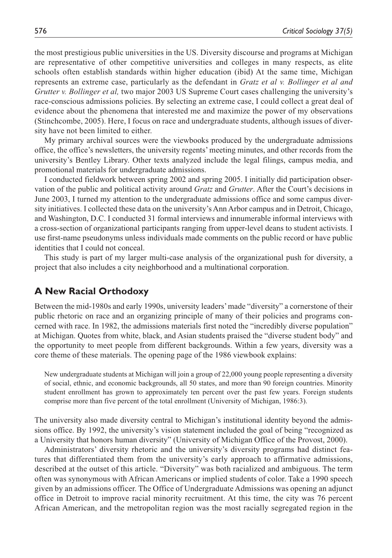the most prestigious public universities in the US. Diversity discourse and programs at Michigan are representative of other competitive universities and colleges in many respects, as elite schools often establish standards within higher education (ibid) At the same time, Michigan represents an extreme case, particularly as the defendant in *Gratz et al v. Bollinger et al and Grutter v. Bollinger et al,* two major 2003 US Supreme Court cases challenging the university's race-conscious admissions policies. By selecting an extreme case, I could collect a great deal of evidence about the phenomena that interested me and maximize the power of my observations (Stinchcombe, 2005). Here, I focus on race and undergraduate students, although issues of diversity have not been limited to either.

My primary archival sources were the viewbooks produced by the undergraduate admissions office, the office's newsletters, the university regents' meeting minutes, and other records from the university's Bentley Library. Other texts analyzed include the legal filings, campus media, and promotional materials for undergraduate admissions.

I conducted fieldwork between spring 2002 and spring 2005. I initially did participation observation of the public and political activity around *Gratz* and *Grutter*. After the Court's decisions in June 2003, I turned my attention to the undergraduate admissions office and some campus diversity initiatives. I collected these data on the university's Ann Arbor campus and in Detroit, Chicago, and Washington, D.C. I conducted 31 formal interviews and innumerable informal interviews with a cross-section of organizational participants ranging from upper-level deans to student activists. I use first-name pseudonyms unless individuals made comments on the public record or have public identities that I could not conceal.

This study is part of my larger multi-case analysis of the organizational push for diversity, a project that also includes a city neighborhood and a multinational corporation.

# **A New Racial Orthodoxy**

Between the mid-1980s and early 1990s, university leaders' made "diversity" a cornerstone of their public rhetoric on race and an organizing principle of many of their policies and programs concerned with race. In 1982, the admissions materials first noted the "incredibly diverse population" at Michigan. Quotes from white, black, and Asian students praised the "diverse student body" and the opportunity to meet people from different backgrounds. Within a few years, diversity was a core theme of these materials. The opening page of the 1986 viewbook explains:

New undergraduate students at Michigan will join a group of 22,000 young people representing a diversity of social, ethnic, and economic backgrounds, all 50 states, and more than 90 foreign countries. Minority student enrollment has grown to approximately ten percent over the past few years. Foreign students comprise more than five percent of the total enrollment (University of Michigan, 1986:3).

The university also made diversity central to Michigan's institutional identity beyond the admissions office. By 1992, the university's vision statement included the goal of being "recognized as a University that honors human diversity" (University of Michigan Office of the Provost, 2000).

Administrators' diversity rhetoric and the university's diversity programs had distinct features that differentiated them from the university's early approach to affirmative admissions, described at the outset of this article. "Diversity" was both racialized and ambiguous. The term often was synonymous with African Americans or implied students of color. Take a 1990 speech given by an admissions officer. The Office of Undergraduate Admissions was opening an adjunct office in Detroit to improve racial minority recruitment. At this time, the city was 76 percent African American, and the metropolitan region was the most racially segregated region in the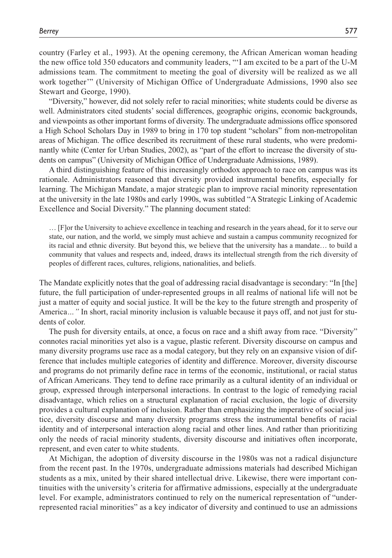country (Farley et al., 1993). At the opening ceremony, the African American woman heading the new office told 350 educators and community leaders, "'I am excited to be a part of the U-M admissions team. The commitment to meeting the goal of diversity will be realized as we all work together'" (University of Michigan Office of Undergraduate Admissions, 1990 also see Stewart and George, 1990).

"Diversity," however, did not solely refer to racial minorities; white students could be diverse as well. Administrators cited students' social differences, geographic origins, economic backgrounds, and viewpoints as other important forms of diversity. The undergraduate admissions office sponsored a High School Scholars Day in 1989 to bring in 170 top student "scholars" from non-metropolitan areas of Michigan. The office described its recruitment of these rural students, who were predominantly white (Center for Urban Studies, 2002), as "part of the effort to increase the diversity of students on campus" (University of Michigan Office of Undergraduate Admissions, 1989).

A third distinguishing feature of this increasingly orthodox approach to race on campus was its rationale. Administrators reasoned that diversity provided instrumental benefits, especially for learning. The Michigan Mandate, a major strategic plan to improve racial minority representation at the university in the late 1980s and early 1990s, was subtitled "A Strategic Linking of Academic Excellence and Social Diversity." The planning document stated:

… [F]or the University to achieve excellence in teaching and research in the years ahead, for it to serve our state, our nation, and the world, we simply must achieve and sustain a campus community recognized for its racial and ethnic diversity. But beyond this, we believe that the university has a mandate… to build a community that values and respects and, indeed, draws its intellectual strength from the rich diversity of peoples of different races, cultures, religions, nationalities, and beliefs.

The Mandate explicitly notes that the goal of addressing racial disadvantage is secondary: "In [the] future, the full participation of under-represented groups in all realms of national life will not be just a matter of equity and social justice. It will be the key to the future strength and prosperity of America*…"* In short, racial minority inclusion is valuable because it pays off, and not just for students of color.

The push for diversity entails, at once, a focus on race and a shift away from race. "Diversity" connotes racial minorities yet also is a vague, plastic referent. Diversity discourse on campus and many diversity programs use race as a modal category, but they rely on an expansive vision of difference that includes multiple categories of identity and difference. Moreover, diversity discourse and programs do not primarily define race in terms of the economic, institutional, or racial status of African Americans. They tend to define race primarily as a cultural identity of an individual or group, expressed through interpersonal interactions. In contrast to the logic of remedying racial disadvantage, which relies on a structural explanation of racial exclusion, the logic of diversity provides a cultural explanation of inclusion. Rather than emphasizing the imperative of social justice, diversity discourse and many diversity programs stress the instrumental benefits of racial identity and of interpersonal interaction along racial and other lines. And rather than prioritizing only the needs of racial minority students, diversity discourse and initiatives often incorporate, represent, and even cater to white students.

At Michigan, the adoption of diversity discourse in the 1980s was not a radical disjuncture from the recent past. In the 1970s, undergraduate admissions materials had described Michigan students as a mix, united by their shared intellectual drive. Likewise, there were important continuities with the university's criteria for affirmative admissions, especially at the undergraduate level. For example, administrators continued to rely on the numerical representation of "underrepresented racial minorities" as a key indicator of diversity and continued to use an admissions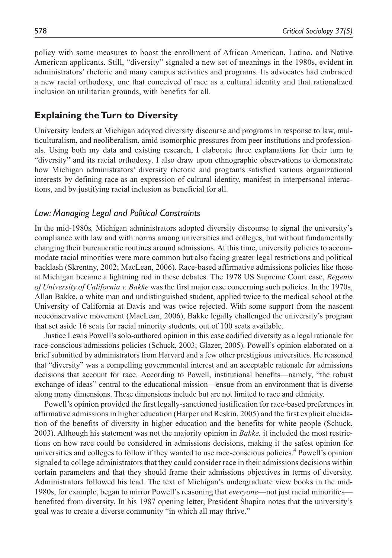policy with some measures to boost the enrollment of African American, Latino, and Native American applicants. Still, "diversity" signaled a new set of meanings in the 1980s, evident in administrators' rhetoric and many campus activities and programs. Its advocates had embraced a new racial orthodoxy, one that conceived of race as a cultural identity and that rationalized inclusion on utilitarian grounds, with benefits for all.

# **Explaining the Turn to Diversity**

University leaders at Michigan adopted diversity discourse and programs in response to law, multiculturalism, and neoliberalism, amid isomorphic pressures from peer institutions and professionals. Using both my data and existing research, I elaborate three explanations for their turn to "diversity" and its racial orthodoxy. I also draw upon ethnographic observations to demonstrate how Michigan administrators' diversity rhetoric and programs satisfied various organizational interests by defining race as an expression of cultural identity, manifest in interpersonal interactions, and by justifying racial inclusion as beneficial for all.

## *Law: Managing Legal and Political Constraints*

In the mid-1980s*,* Michigan administrators adopted diversity discourse to signal the university's compliance with law and with norms among universities and colleges, but without fundamentally changing their bureaucratic routines around admissions. At this time, university policies to accommodate racial minorities were more common but also facing greater legal restrictions and political backlash (Skrentny, 2002; MacLean, 2006). Race-based affirmative admissions policies like those at Michigan became a lightning rod in these debates. The 1978 US Supreme Court case, *Regents of University of California v. Bakke* was the first major case concerning such policies. In the 1970s, Allan Bakke, a white man and undistinguished student, applied twice to the medical school at the University of California at Davis and was twice rejected. With some support from the nascent neoconservative movement (MacLean, 2006), Bakke legally challenged the university's program that set aside 16 seats for racial minority students, out of 100 seats available.

Justice Lewis Powell's solo-authored opinion in this case codified diversity as a legal rationale for race-conscious admissions policies (Schuck, 2003; Glazer, 2005). Powell's opinion elaborated on a brief submitted by administrators from Harvard and a few other prestigious universities. He reasoned that "diversity" was a compelling governmental interest and an acceptable rationale for admissions decisions that account for race. According to Powell, institutional benefits—namely, "the robust exchange of ideas" central to the educational mission—ensue from an environment that is diverse along many dimensions. These dimensions include but are not limited to race and ethnicity.

Powell's opinion provided the first legally-sanctioned justification for race-based preferences in affirmative admissions in higher education (Harper and Reskin, 2005) and the first explicit elucidation of the benefits of diversity in higher education and the benefits for white people (Schuck, 2003). Although his statement was not the majority opinion in *Bakke,* it included the most restrictions on how race could be considered in admissions decisions, making it the safest opinion for universities and colleges to follow if they wanted to use race-conscious policies.<sup>4</sup> Powell's opinion signaled to college administrators that they could consider race in their admissions decisions within certain parameters and that they should frame their admissions objectives in terms of diversity. Administrators followed his lead. The text of Michigan's undergraduate view books in the mid-1980s, for example, began to mirror Powell's reasoning that *everyone*—not just racial minorities benefited from diversity. In his 1987 opening letter, President Shapiro notes that the university's goal was to create a diverse community "in which all may thrive."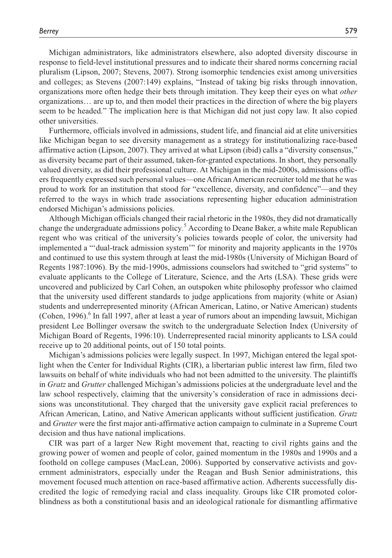Michigan administrators, like administrators elsewhere, also adopted diversity discourse in response to field-level institutional pressures and to indicate their shared norms concerning racial pluralism (Lipson, 2007; Stevens, 2007). Strong isomorphic tendencies exist among universities and colleges; as Stevens (2007:149) explains, "Instead of taking big risks through innovation, organizations more often hedge their bets through imitation. They keep their eyes on what *other*  organizations… are up to, and then model their practices in the direction of where the big players seem to be headed." The implication here is that Michigan did not just copy law. It also copied other universities.

Furthermore, officials involved in admissions, student life, and financial aid at elite universities like Michigan began to see diversity management as a strategy for institutionalizing race-based affirmative action (Lipson, 2007). They arrived at what Lipson (ibid) calls a "diversity consensus," as diversity became part of their assumed, taken-for-granted expectations. In short, they personally valued diversity, as did their professional culture. At Michigan in the mid-2000s, admissions officers frequently expressed such personal values—one African American recruiter told me that he was proud to work for an institution that stood for "excellence, diversity, and confidence"—and they referred to the ways in which trade associations representing higher education administration endorsed Michigan's admissions policies.

Although Michigan officials changed their racial rhetoric in the 1980s, they did not dramatically change the undergraduate admissions policy*.* <sup>5</sup> According to Deane Baker, a white male Republican regent who was critical of the university's policies towards people of color, the university had implemented a "'dual-track admission system'" for minority and majority applicants in the 1970s and continued to use this system through at least the mid-1980s (University of Michigan Board of Regents 1987:1096). By the mid-1990s, admissions counselors had switched to "grid systems" to evaluate applicants to the College of Literature, Science, and the Arts (LSA). These grids were uncovered and publicized by Carl Cohen, an outspoken white philosophy professor who claimed that the university used different standards to judge applications from majority (white or Asian) students and underrepresented minority (African American, Latino, or Native American) students (Cohen, 1996).<sup>6</sup> In fall 1997, after at least a year of rumors about an impending lawsuit, Michigan president Lee Bollinger oversaw the switch to the undergraduate Selection Index (University of Michigan Board of Regents, 1996:10). Underrepresented racial minority applicants to LSA could receive up to 20 additional points, out of 150 total points.

Michigan's admissions policies were legally suspect. In 1997, Michigan entered the legal spotlight when the Center for Individual Rights (CIR), a libertarian public interest law firm, filed two lawsuits on behalf of white individuals who had not been admitted to the university. The plaintiffs in *Gratz* and *Grutter* challenged Michigan's admissions policies at the undergraduate level and the law school respectively, claiming that the university's consideration of race in admissions decisions was unconstitutional. They charged that the university gave explicit racial preferences to African American, Latino, and Native American applicants without sufficient justification. *Gratz*  and *Grutter* were the first major anti-affirmative action campaign to culminate in a Supreme Court decision and thus have national implications.

CIR was part of a larger New Right movement that, reacting to civil rights gains and the growing power of women and people of color, gained momentum in the 1980s and 1990s and a foothold on college campuses (MacLean, 2006). Supported by conservative activists and government administrators, especially under the Reagan and Bush Senior administrations, this movement focused much attention on race-based affirmative action. Adherents successfully discredited the logic of remedying racial and class inequality. Groups like CIR promoted colorblindness as both a constitutional basis and an ideological rationale for dismantling affirmative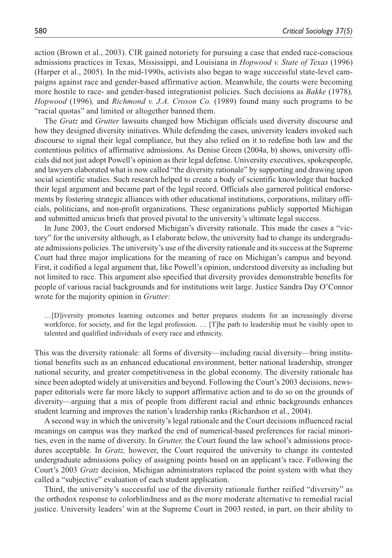action (Brown et al., 2003). CIR gained notoriety for pursuing a case that ended race-conscious admissions practices in Texas, Mississippi, and Louisiana in *Hopwood v. State of Texas* (1996) (Harper et al., 2005). In the mid-1990s, activists also began to wage successful state-level campaigns against race and gender-based affirmative action. Meanwhile, the courts were becoming more hostile to race- and gender-based integrationist policies. Such decisions as *Bakke* (1978)*, Hopwood* (1996)*,* and *Richmond v. J.A. Croson Co.* (1989) found many such programs to be "racial quotas" and limited or altogether banned them.

The *Gratz* and *Grutter* lawsuits changed how Michigan officials used diversity discourse and how they designed diversity initiatives. While defending the cases, university leaders invoked such discourse to signal their legal compliance, but they also relied on it to redefine both law and the contentious politics of affirmative admissions. As Denise Green (2004a, b) shows, university officials did not just adopt Powell's opinion as their legal defense. University executives, spokespeople, and lawyers elaborated what is now called "the diversity rationale" by supporting and drawing upon social scientific studies. Such research helped to create a body of scientific knowledge that backed their legal argument and became part of the legal record. Officials also garnered political endorsements by fostering strategic alliances with other educational institutions, corporations, military officials, politicians, and non-profit organizations. These organizations publicly supported Michigan and submitted amicus briefs that proved pivotal to the university's ultimate legal success.

In June 2003, the Court endorsed Michigan's diversity rationale. This made the cases a "victory" for the university although, as I elaborate below, the university had to change its undergraduate admissions policies. The university's use of the diversity rationale and its success at the Supreme Court had three major implications for the meaning of race on Michigan's campus and beyond. First, it codified a legal argument that, like Powell's opinion, understood diversity as including but not limited to race. This argument also specified that diversity provides demonstrable benefits for people of various racial backgrounds and for institutions writ large. Justice Sandra Day O'Connor wrote for the majority opinion in *Grutter:* 

…[D]iversity promotes learning outcomes and better prepares students for an increasingly diverse workforce, for society, and for the legal profession. ... [T]he path to leadership must be visibly open to talented and qualified individuals of every race and ethnicity.

This was the diversity rationale: all forms of diversity—including racial diversity—bring institutional benefits such as an enhanced educational environment, better national leadership, stronger national security, and greater competitiveness in the global economy. The diversity rationale has since been adopted widely at universities and beyond. Following the Court's 2003 decisions, newspaper editorials were far more likely to support affirmative action and to do so on the grounds of diversity—arguing that a mix of people from different racial and ethnic backgrounds enhances student learning and improves the nation's leadership ranks (Richardson et al., 2004).

A second way in which the university's legal rationale and the Court decisions influenced racial meanings on campus was they marked the end of numerical-based preferences for racial minorities, even in the name of diversity. In *Grutter,* the Court found the law school's admissions procedures acceptable. In *Gratz,* however, the Court required the university to change its contested undergraduate admissions policy of assigning points based on an applicant's race. Following the Court's 2003 *Gratz* decision, Michigan administrators replaced the point system with what they called a "subjective" evaluation of each student application.

Third, the university's successful use of the diversity rationale further reified "diversity" as the orthodox response to colorblindness and as the more moderate alternative to remedial racial justice. University leaders' win at the Supreme Court in 2003 rested, in part, on their ability to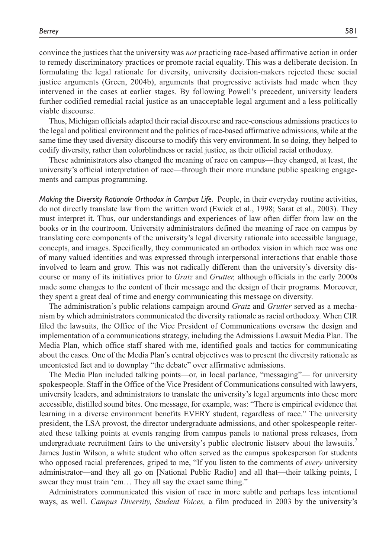convince the justices that the university was *not* practicing race-based affirmative action in order to remedy discriminatory practices or promote racial equality. This was a deliberate decision. In formulating the legal rationale for diversity, university decision-makers rejected these social justice arguments (Green, 2004b), arguments that progressive activists had made when they intervened in the cases at earlier stages. By following Powell's precedent, university leaders further codified remedial racial justice as an unacceptable legal argument and a less politically viable discourse.

Thus, Michigan officials adapted their racial discourse and race-conscious admissions practices to the legal and political environment and the politics of race-based affirmative admissions, while at the same time they used diversity discourse to modify this very environment. In so doing, they helped to codify diversity, rather than colorblindness or racial justice, as their official racial orthodoxy.

These administrators also changed the meaning of race on campus—they changed, at least, the university's official interpretation of race—through their more mundane public speaking engagements and campus programming.

*Making the Diversity Rationale Orthodox in Campus Life*. People, in their everyday routine activities, do not directly translate law from the written word (Ewick et al., 1998; Sarat et al., 2003). They must interpret it. Thus, our understandings and experiences of law often differ from law on the books or in the courtroom. University administrators defined the meaning of race on campus by translating core components of the university's legal diversity rationale into accessible language, concepts, and images. Specifically, they communicated an orthodox vision in which race was one of many valued identities and was expressed through interpersonal interactions that enable those involved to learn and grow. This was not radically different than the university's diversity discourse or many of its initiatives prior to *Gratz* and *Grutter,* although officials in the early 2000s made some changes to the content of their message and the design of their programs. Moreover, they spent a great deal of time and energy communicating this message on diversity.

The administration's public relations campaign around *Gratz* and *Grutter* served as a mechanism by which administrators communicated the diversity rationale as racial orthodoxy. When CIR filed the lawsuits, the Office of the Vice President of Communications oversaw the design and implementation of a communications strategy, including the Admissions Lawsuit Media Plan. The Media Plan, which office staff shared with me, identified goals and tactics for communicating about the cases. One of the Media Plan's central objectives was to present the diversity rationale as uncontested fact and to downplay "the debate" over affirmative admissions.

The Media Plan included talking points—or, in local parlance, "messaging"— for university spokespeople. Staff in the Office of the Vice President of Communications consulted with lawyers, university leaders, and administrators to translate the university's legal arguments into these more accessible, distilled sound bites. One message, for example, was: "There is empirical evidence that learning in a diverse environment benefits EVERY student, regardless of race." The university president, the LSA provost, the director undergraduate admissions, and other spokespeople reiterated these talking points at events ranging from campus panels to national press releases, from undergraduate recruitment fairs to the university's public electronic listserv about the lawsuits.<sup>7</sup> James Justin Wilson, a white student who often served as the campus spokesperson for students who opposed racial preferences, griped to me, "If you listen to the comments of *every* university administrator—and they all go on [National Public Radio] and all that—their talking points, I swear they must train 'em… They all say the exact same thing."

Administrators communicated this vision of race in more subtle and perhaps less intentional ways, as well. *Campus Diversity, Student Voices,* a film produced in 2003 by the university's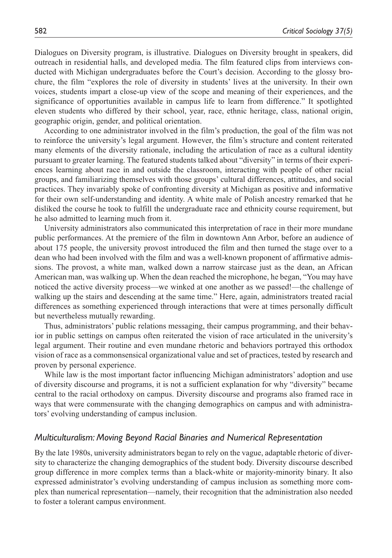Dialogues on Diversity program, is illustrative. Dialogues on Diversity brought in speakers, did outreach in residential halls, and developed media. The film featured clips from interviews conducted with Michigan undergraduates before the Court's decision. According to the glossy brochure, the film "explores the role of diversity in students' lives at the university. In their own voices, students impart a close-up view of the scope and meaning of their experiences, and the significance of opportunities available in campus life to learn from difference." It spotlighted eleven students who differed by their school, year, race, ethnic heritage, class, national origin, geographic origin, gender, and political orientation.

According to one administrator involved in the film's production, the goal of the film was not to reinforce the university's legal argument. However, the film's structure and content reiterated many elements of the diversity rationale, including the articulation of race as a cultural identity pursuant to greater learning. The featured students talked about "diversity" in terms of their experiences learning about race in and outside the classroom, interacting with people of other racial groups, and familiarizing themselves with those groups' cultural differences, attitudes, and social practices. They invariably spoke of confronting diversity at Michigan as positive and informative for their own self-understanding and identity. A white male of Polish ancestry remarked that he disliked the course he took to fulfill the undergraduate race and ethnicity course requirement, but he also admitted to learning much from it.

University administrators also communicated this interpretation of race in their more mundane public performances. At the premiere of the film in downtown Ann Arbor, before an audience of about 175 people, the university provost introduced the film and then turned the stage over to a dean who had been involved with the film and was a well-known proponent of affirmative admissions. The provost, a white man, walked down a narrow staircase just as the dean, an African American man, was walking up. When the dean reached the microphone, he began, "You may have noticed the active diversity process—we winked at one another as we passed!—the challenge of walking up the stairs and descending at the same time." Here, again, administrators treated racial differences as something experienced through interactions that were at times personally difficult but nevertheless mutually rewarding.

Thus, administrators' public relations messaging, their campus programming, and their behavior in public settings on campus often reiterated the vision of race articulated in the university's legal argument. Their routine and even mundane rhetoric and behaviors portrayed this orthodox vision of race as a commonsensical organizational value and set of practices, tested by research and proven by personal experience.

While law is the most important factor influencing Michigan administrators' adoption and use of diversity discourse and programs, it is not a sufficient explanation for why "diversity" became central to the racial orthodoxy on campus. Diversity discourse and programs also framed race in ways that were commensurate with the changing demographics on campus and with administrators' evolving understanding of campus inclusion.

### *Multiculturalism: Moving Beyond Racial Binaries and Numerical Representation*

By the late 1980s, university administrators began to rely on the vague, adaptable rhetoric of diversity to characterize the changing demographics of the student body. Diversity discourse described group difference in more complex terms than a black-white or majority-minority binary. It also expressed administrator's evolving understanding of campus inclusion as something more complex than numerical representation—namely, their recognition that the administration also needed to foster a tolerant campus environment.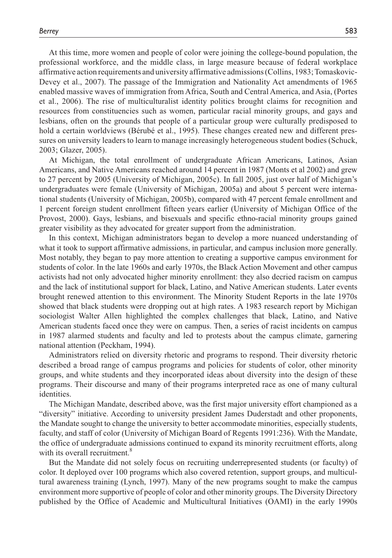At this time, more women and people of color were joining the college-bound population, the professional workforce, and the middle class, in large measure because of federal workplace affirmative action requirements and university affirmative admissions (Collins, 1983; Tomaskovic-Devey et al., 2007). The passage of the Immigration and Nationality Act amendments of 1965 enabled massive waves of immigration from Africa, South and Central America, and Asia, (Portes et al., 2006). The rise of multiculturalist identity politics brought claims for recognition and resources from constituencies such as women, particular racial minority groups, and gays and lesbians, often on the grounds that people of a particular group were culturally predisposed to hold a certain worldviews (Bérubé et al., 1995). These changes created new and different pressures on university leaders to learn to manage increasingly heterogeneous student bodies (Schuck, 2003; Glazer, 2005).

At Michigan, the total enrollment of undergraduate African Americans, Latinos, Asian Americans, and Native Americans reached around 14 percent in 1987 (Monts et al 2002) and grew to 27 percent by 2005 (University of Michigan, 2005c). In fall 2005, just over half of Michigan's undergraduates were female (University of Michigan, 2005a) and about 5 percent were international students (University of Michigan, 2005b), compared with 47 percent female enrollment and 1 percent foreign student enrollment fifteen years earlier (University of Michigan Office of the Provost, 2000). Gays, lesbians, and bisexuals and specific ethno-racial minority groups gained greater visibility as they advocated for greater support from the administration.

In this context, Michigan administrators began to develop a more nuanced understanding of what it took to support affirmative admissions, in particular, and campus inclusion more generally. Most notably, they began to pay more attention to creating a supportive campus environment for students of color. In the late 1960s and early 1970s, the Black Action Movement and other campus activists had not only advocated higher minority enrollment: they also decried racism on campus and the lack of institutional support for black, Latino, and Native American students. Later events brought renewed attention to this environment. The Minority Student Reports in the late 1970s showed that black students were dropping out at high rates. A 1983 research report by Michigan sociologist Walter Allen highlighted the complex challenges that black, Latino, and Native American students faced once they were on campus. Then, a series of racist incidents on campus in 1987 alarmed students and faculty and led to protests about the campus climate, garnering national attention (Peckham, 1994).

Administrators relied on diversity rhetoric and programs to respond. Their diversity rhetoric described a broad range of campus programs and policies for students of color, other minority groups, and white students and they incorporated ideas about diversity into the design of these programs. Their discourse and many of their programs interpreted race as one of many cultural identities.

The Michigan Mandate, described above, was the first major university effort championed as a "diversity" initiative. According to university president James Duderstadt and other proponents, the Mandate sought to change the university to better accommodate minorities, especially students, faculty, and staff of color (University of Michigan Board of Regents 1991:236). With the Mandate, the office of undergraduate admissions continued to expand its minority recruitment efforts, along with its overall recruitment.<sup>8</sup>

But the Mandate did not solely focus on recruiting underrepresented students (or faculty) of color. It deployed over 100 programs which also covered retention, support groups, and multicultural awareness training (Lynch, 1997). Many of the new programs sought to make the campus environment more supportive of people of color and other minority groups. The Diversity Directory published by the Office of Academic and Multicultural Initiatives (OAMI) in the early 1990s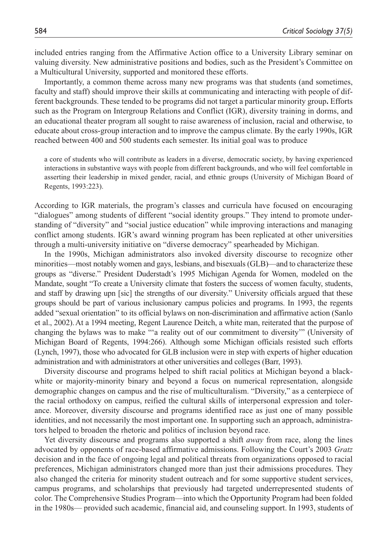included entries ranging from the Affirmative Action office to a University Library seminar on valuing diversity. New administrative positions and bodies, such as the President's Committee on a Multicultural University, supported and monitored these efforts.

Importantly, a common theme across many new programs was that students (and sometimes, faculty and staff) should improve their skills at communicating and interacting with people of different backgrounds. These tended to be programs did not target a particular minority group**.** Efforts such as the Program on Intergroup Relations and Conflict (IGR), diversity training in dorms, and an educational theater program all sought to raise awareness of inclusion, racial and otherwise, to educate about cross-group interaction and to improve the campus climate. By the early 1990s, IGR reached between 400 and 500 students each semester. Its initial goal was to produce

a core of students who will contribute as leaders in a diverse, democratic society, by having experienced interactions in substantive ways with people from different backgrounds, and who will feel comfortable in asserting their leadership in mixed gender, racial, and ethnic groups (University of Michigan Board of Regents, 1993:223).

According to IGR materials, the program's classes and curricula have focused on encouraging "dialogues" among students of different "social identity groups." They intend to promote understanding of "diversity" and "social justice education" while improving interactions and managing conflict among students. IGR's award winning program has been replicated at other universities through a multi-university initiative on "diverse democracy" spearheaded by Michigan.

In the 1990s, Michigan administrators also invoked diversity discourse to recognize other minorities—most notably women and gays, lesbians, and bisexuals (GLB)—and to characterize these groups as "diverse." President Duderstadt's 1995 Michigan Agenda for Women, modeled on the Mandate, sought "To create a University climate that fosters the success of women faculty, students, and staff by drawing upn [sic] the strengths of our diversity." University officials argued that these groups should be part of various inclusionary campus policies and programs. In 1993, the regents added "sexual orientation" to its official bylaws on non-discrimination and affirmative action (Sanlo et al., 2002).At a 1994 meeting, Regent Laurence Deitch, a white man, reiterated that the purpose of changing the bylaws was to make "'a reality out of our commitment to diversity'" (University of Michigan Board of Regents, 1994:266). Although some Michigan officials resisted such efforts (Lynch, 1997), those who advocated for GLB inclusion were in step with experts of higher education administration and with administrators at other universities and colleges (Barr, 1993).

Diversity discourse and programs helped to shift racial politics at Michigan beyond a blackwhite or majority-minority binary and beyond a focus on numerical representation, alongside demographic changes on campus and the rise of multiculturalism. "Diversity," as a centerpiece of the racial orthodoxy on campus, reified the cultural skills of interpersonal expression and tolerance. Moreover, diversity discourse and programs identified race as just one of many possible identities, and not necessarily the most important one. In supporting such an approach, administrators helped to broaden the rhetoric and politics of inclusion beyond race.

Yet diversity discourse and programs also supported a shift *away* from race, along the lines advocated by opponents of race-based affirmative admissions. Following the Court's 2003 *Gratz*  decision and in the face of ongoing legal and political threats from organizations opposed to racial preferences, Michigan administrators changed more than just their admissions procedures. They also changed the criteria for minority student outreach and for some supportive student services, campus programs, and scholarships that previously had targeted underrepresented students of color. The Comprehensive Studies Program—into which the Opportunity Program had been folded in the 1980s— provided such academic, financial aid, and counseling support. In 1993, students of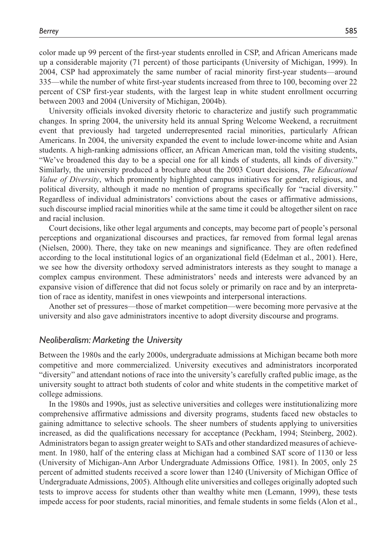color made up 99 percent of the first-year students enrolled in CSP, and African Americans made up a considerable majority (71 percent) of those participants (University of Michigan, 1999). In 2004, CSP had approximately the same number of racial minority first-year students—around 335—while the number of white first-year students increased from three to 100, becoming over 22 percent of CSP first-year students, with the largest leap in white student enrollment occurring between 2003 and 2004 (University of Michigan, 2004b).

University officials invoked diversity rhetoric to characterize and justify such programmatic changes. In spring 2004, the university held its annual Spring Welcome Weekend, a recruitment event that previously had targeted underrepresented racial minorities, particularly African Americans. In 2004, the university expanded the event to include lower-income white and Asian students. A high-ranking admissions officer, an African American man, told the visiting students, "We've broadened this day to be a special one for all kinds of students, all kinds of diversity." Similarly, the university produced a brochure about the 2003 Court decisions, *The Educational Value of Diversity*, which prominently highlighted campus initiatives for gender, religious, and political diversity, although it made no mention of programs specifically for "racial diversity." Regardless of individual administrators' convictions about the cases or affirmative admissions, such discourse implied racial minorities while at the same time it could be altogether silent on race and racial inclusion.

Court decisions, like other legal arguments and concepts, may become part of people's personal perceptions and organizational discourses and practices, far removed from formal legal arenas (Nielsen, 2000). There, they take on new meanings and significance. They are often redefined according to the local institutional logics of an organizational field (Edelman et al., 2001). Here, we see how the diversity orthodoxy served administrators interests as they sought to manage a complex campus environment. These administrators' needs and interests were advanced by an expansive vision of difference that did not focus solely or primarily on race and by an interpretation of race as identity, manifest in ones viewpoints and interpersonal interactions.

Another set of pressures—those of market competition—were becoming more pervasive at the university and also gave administrators incentive to adopt diversity discourse and programs.

#### *Neoliberalism: Marketing the University*

Between the 1980s and the early 2000s, undergraduate admissions at Michigan became both more competitive and more commercialized. University executives and administrators incorporated "diversity" and attendant notions of race into the university's carefully crafted public image, as the university sought to attract both students of color and white students in the competitive market of college admissions.

In the 1980s and 1990s, just as selective universities and colleges were institutionalizing more comprehensive affirmative admissions and diversity programs, students faced new obstacles to gaining admittance to selective schools. The sheer numbers of students applying to universities increased, as did the qualifications necessary for acceptance (Peckham, 1994; Steinberg, 2002). Administrators began to assign greater weight to SATs and other standardized measures of achievement. In 1980, half of the entering class at Michigan had a combined SAT score of 1130 or less (University of Michigan-Ann Arbor Undergraduate Admissions Office*,* 1981). In 2005, only 25 percent of admitted students received a score lower than 1240 (University of Michigan Office of Undergraduate Admissions, 2005). Although elite universities and colleges originally adopted such tests to improve access for students other than wealthy white men (Lemann, 1999), these tests impede access for poor students, racial minorities, and female students in some fields (Alon et al.,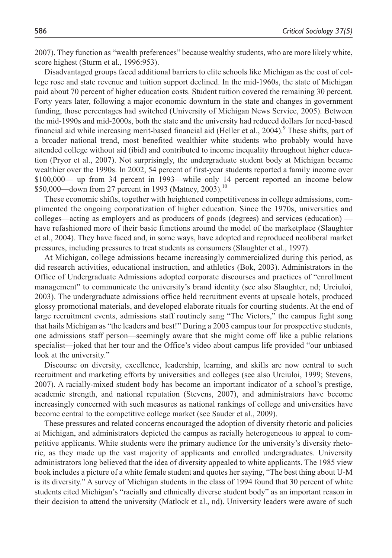2007). They function as "wealth preferences" because wealthy students, who are more likely white, score highest (Sturm et al., 1996:953).

Disadvantaged groups faced additional barriers to elite schools like Michigan as the cost of college rose and state revenue and tuition support declined. In the mid-1960s, the state of Michigan paid about 70 percent of higher education costs. Student tuition covered the remaining 30 percent. Forty years later, following a major economic downturn in the state and changes in government funding, those percentages had switched (University of Michigan News Service, 2005). Between the mid-1990s and mid-2000s, both the state and the university had reduced dollars for need-based financial aid while increasing merit-based financial aid (Heller et al., 2004).<sup>9</sup> These shifts, part of a broader national trend, most benefited wealthier white students who probably would have attended college without aid (ibid) and contributed to income inequality throughout higher education (Pryor et al., 2007). Not surprisingly, the undergraduate student body at Michigan became wealthier over the 1990s. In 2002, 54 percent of first-year students reported a family income over \$100,000— up from 34 percent in 1993—while only 14 percent reported an income below \$50,000—down from 27 percent in 1993 (Matney, 2003).<sup>10</sup>

These economic shifts, together with heightened competitiveness in college admissions, complimented the ongoing corporatization of higher education. Since the 1970s, universities and colleges—acting as employers and as producers of goods (degrees) and services (education) have refashioned more of their basic functions around the model of the marketplace (Slaughter et al., 2004). They have faced and, in some ways, have adopted and reproduced neoliberal market pressures, including pressures to treat students as consumers (Slaughter et al., 1997).

At Michigan, college admissions became increasingly commercialized during this period, as did research activities, educational instruction, and athletics (Bok, 2003). Administrators in the Office of Undergraduate Admissions adopted corporate discourses and practices of "enrollment management" to communicate the university's brand identity (see also Slaughter, nd; Urciuloi, 2003). The undergraduate admissions office held recruitment events at upscale hotels, produced glossy promotional materials, and developed elaborate rituals for courting students. At the end of large recruitment events, admissions staff routinely sang "The Victors," the campus fight song that hails Michigan as "the leaders and best!" During a 2003 campus tour for prospective students, one admissions staff person—seemingly aware that she might come off like a public relations specialist—joked that her tour and the Office's video about campus life provided "our unbiased look at the university."

Discourse on diversity, excellence, leadership, learning, and skills are now central to such recruitment and marketing efforts by universities and colleges (see also Urciuloi, 1999; Stevens, 2007). A racially-mixed student body has become an important indicator of a school's prestige, academic strength, and national reputation (Stevens, 2007), and administrators have become increasingly concerned with such measures as national rankings of college and universities have become central to the competitive college market (see Sauder et al., 2009).

These pressures and related concerns encouraged the adoption of diversity rhetoric and policies at Michigan, and administrators depicted the campus as racially heterogeneous to appeal to competitive applicants. White students were the primary audience for the university's diversity rhetoric, as they made up the vast majority of applicants and enrolled undergraduates. University administrators long believed that the idea of diversity appealed to white applicants. The 1985 view book includes a picture of a white female student and quotes her saying, "The best thing about U-M is its diversity." A survey of Michigan students in the class of 1994 found that 30 percent of white students cited Michigan's "racially and ethnically diverse student body" as an important reason in their decision to attend the university (Matlock et al., nd). University leaders were aware of such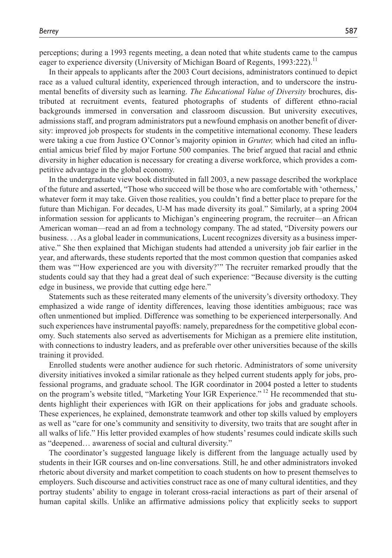perceptions; during a 1993 regents meeting, a dean noted that white students came to the campus eager to experience diversity (University of Michigan Board of Regents, 1993:222).<sup>11</sup>

In their appeals to applicants after the 2003 Court decisions, administrators continued to depict race as a valued cultural identity, experienced through interaction, and to underscore the instrumental benefits of diversity such as learning. *The Educational Value of Diversity* brochures, distributed at recruitment events, featured photographs of students of different ethno-racial backgrounds immersed in conversation and classroom discussion. But university executives, admissions staff, and program administrators put a newfound emphasis on another benefit of diversity: improved job prospects for students in the competitive international economy. These leaders were taking a cue from Justice O'Connor's majority opinion in *Grutter,* which had cited an influential amicus brief filed by major Fortune 500 companies. The brief argued that racial and ethnic diversity in higher education is necessary for creating a diverse workforce, which provides a competitive advantage in the global economy.

In the undergraduate view book distributed in fall 2003, a new passage described the workplace of the future and asserted, "Those who succeed will be those who are comfortable with 'otherness,' whatever form it may take. Given those realities, you couldn't find a better place to prepare for the future than Michigan. For decades, U-M has made diversity its goal." Similarly, at a spring 2004 information session for applicants to Michigan's engineering program, the recruiter—an African American woman—read an ad from a technology company. The ad stated, "Diversity powers our business. . . As a global leader in communications, Lucent recognizes diversity as a business imperative." She then explained that Michigan students had attended a university job fair earlier in the year, and afterwards, these students reported that the most common question that companies asked them was "'How experienced are you with diversity?'" The recruiter remarked proudly that the students could say that they had a great deal of such experience: "Because diversity is the cutting edge in business, we provide that cutting edge here."

Statements such as these reiterated many elements of the university's diversity orthodoxy. They emphasized a wide range of identity differences, leaving those identities ambiguous; race was often unmentioned but implied. Difference was something to be experienced interpersonally. And such experiences have instrumental payoffs: namely, preparedness for the competitive global economy. Such statements also served as advertisements for Michigan as a premiere elite institution, with connections to industry leaders, and as preferable over other universities because of the skills training it provided.

Enrolled students were another audience for such rhetoric. Administrators of some university diversity initiatives invoked a similar rationale as they helped current students apply for jobs, professional programs, and graduate school. The IGR coordinator in 2004 posted a letter to students on the program's website titled, "Marketing Your IGR Experience."<sup>12</sup> He recommended that students highlight their experiences with IGR on their applications for jobs and graduate schools. These experiences, he explained, demonstrate teamwork and other top skills valued by employers as well as "care for one's community and sensitivity to diversity, two traits that are sought after in all walks of life." His letter provided examples of how students' resumes could indicate skills such as "deepened… awareness of social and cultural diversity."

The coordinator's suggested language likely is different from the language actually used by students in their IGR courses and on-line conversations. Still, he and other administrators invoked rhetoric about diversity and market competition to coach students on how to present themselves to employers. Such discourse and activities construct race as one of many cultural identities, and they portray students' ability to engage in tolerant cross-racial interactions as part of their arsenal of human capital skills. Unlike an affirmative admissions policy that explicitly seeks to support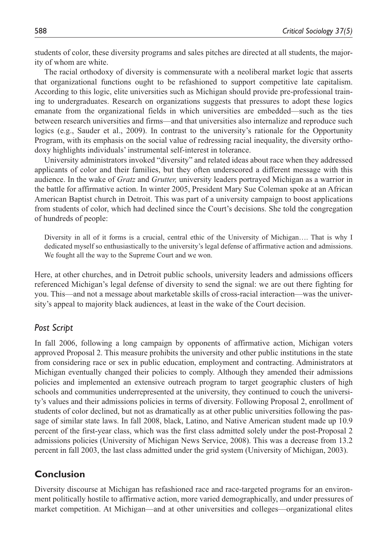students of color, these diversity programs and sales pitches are directed at all students, the majority of whom are white.

The racial orthodoxy of diversity is commensurate with a neoliberal market logic that asserts that organizational functions ought to be refashioned to support competitive late capitalism. According to this logic, elite universities such as Michigan should provide pre-professional training to undergraduates. Research on organizations suggests that pressures to adopt these logics emanate from the organizational fields in which universities are embedded—such as the ties between research universities and firms—and that universities also internalize and reproduce such logics (e.g., Sauder et al., 2009). In contrast to the university's rationale for the Opportunity Program, with its emphasis on the social value of redressing racial inequality, the diversity orthodoxy highlights individuals' instrumental self-interest in tolerance.

University administrators invoked "diversity" and related ideas about race when they addressed applicants of color and their families, but they often underscored a different message with this audience. In the wake of *Gratz* and *Grutter,* university leaders portrayed Michigan as a warrior in the battle for affirmative action. In winter 2005, President Mary Sue Coleman spoke at an African American Baptist church in Detroit. This was part of a university campaign to boost applications from students of color, which had declined since the Court's decisions. She told the congregation of hundreds of people:

Diversity in all of it forms is a crucial, central ethic of the University of Michigan…. That is why I dedicated myself so enthusiastically to the university's legal defense of affirmative action and admissions. We fought all the way to the Supreme Court and we won.

Here, at other churches, and in Detroit public schools, university leaders and admissions officers referenced Michigan's legal defense of diversity to send the signal: we are out there fighting for you. This—and not a message about marketable skills of cross-racial interaction—was the university's appeal to majority black audiences, at least in the wake of the Court decision.

### *Post Script*

In fall 2006, following a long campaign by opponents of affirmative action, Michigan voters approved Proposal 2. This measure prohibits the university and other public institutions in the state from considering race or sex in public education, employment and contracting. Administrators at Michigan eventually changed their policies to comply. Although they amended their admissions policies and implemented an extensive outreach program to target geographic clusters of high schools and communities underrepresented at the university, they continued to couch the university's values and their admissions policies in terms of diversity. Following Proposal 2, enrollment of students of color declined, but not as dramatically as at other public universities following the passage of similar state laws. In fall 2008, black, Latino, and Native American student made up 10.9 percent of the first-year class, which was the first class admitted solely under the post-Proposal 2 admissions policies (University of Michigan News Service, 2008). This was a decrease from 13.2 percent in fall 2003, the last class admitted under the grid system (University of Michigan, 2003).

# **Conclusion**

Diversity discourse at Michigan has refashioned race and race-targeted programs for an environment politically hostile to affirmative action, more varied demographically, and under pressures of market competition. At Michigan—and at other universities and colleges—organizational elites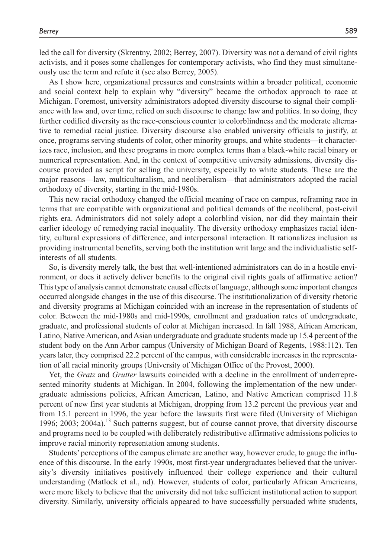led the call for diversity (Skrentny, 2002; Berrey, 2007). Diversity was not a demand of civil rights activists, and it poses some challenges for contemporary activists, who find they must simultaneously use the term and refute it (see also Berrey, 2005).

As I show here, organizational pressures and constraints within a broader political, economic and social context help to explain why "diversity" became the orthodox approach to race at Michigan. Foremost, university administrators adopted diversity discourse to signal their compliance with law and, over time, relied on such discourse to change law and politics. In so doing, they further codified diversity as the race-conscious counter to colorblindness and the moderate alternative to remedial racial justice. Diversity discourse also enabled university officials to justify, at once, programs serving students of color, other minority groups, and white students—it characterizes race, inclusion, and these programs in more complex terms than a black-white racial binary or numerical representation. And, in the context of competitive university admissions, diversity discourse provided as script for selling the university, especially to white students. These are the major reasons—law, multiculturalism, and neoliberalism—that administrators adopted the racial orthodoxy of diversity, starting in the mid-1980s.

This new racial orthodoxy changed the official meaning of race on campus, reframing race in terms that are compatible with organizational and political demands of the neoliberal, post-civil rights era. Administrators did not solely adopt a colorblind vision, nor did they maintain their earlier ideology of remedying racial inequality. The diversity orthodoxy emphasizes racial identity, cultural expressions of difference, and interpersonal interaction. It rationalizes inclusion as providing instrumental benefits, serving both the institution writ large and the individualistic selfinterests of all students.

So, is diversity merely talk, the best that well-intentioned administrators can do in a hostile environment, or does it actively deliver benefits to the original civil rights goals of affirmative action? This type of analysis cannot demonstrate causal effects of language, although some important changes occurred alongside changes in the use of this discourse. The institutionalization of diversity rhetoric and diversity programs at Michigan coincided with an increase in the representation of students of color. Between the mid-1980s and mid-1990s, enrollment and graduation rates of undergraduate, graduate, and professional students of color at Michigan increased. In fall 1988, African American, Latino, Native American, and Asian undergraduate and graduate students made up 15.4 percent of the student body on the Ann Arbor campus (University of Michigan Board of Regents, 1988:112). Ten years later, they comprised 22.2 percent of the campus, with considerable increases in the representation of all racial minority groups (University of Michigan Office of the Provost, 2000).

Yet, the *Gratz* and *Grutter* lawsuits coincided with a decline in the enrollment of underrepresented minority students at Michigan. In 2004, following the implementation of the new undergraduate admissions policies, African American, Latino, and Native American comprised 11.8 percent of new first year students at Michigan, dropping from 13.2 percent the previous year and from 15.1 percent in 1996, the year before the lawsuits first were filed (University of Michigan 1996; 2003; 2004a).<sup>13</sup> Such patterns suggest, but of course cannot prove, that diversity discourse and programs need to be coupled with deliberately redistributive affirmative admissions policies to improve racial minority representation among students.

Students' perceptions of the campus climate are another way, however crude, to gauge the influence of this discourse. In the early 1990s, most first-year undergraduates believed that the university's diversity initiatives positively influenced their college experience and their cultural understanding (Matlock et al., nd). However, students of color, particularly African Americans, were more likely to believe that the university did not take sufficient institutional action to support diversity. Similarly, university officials appeared to have successfully persuaded white students,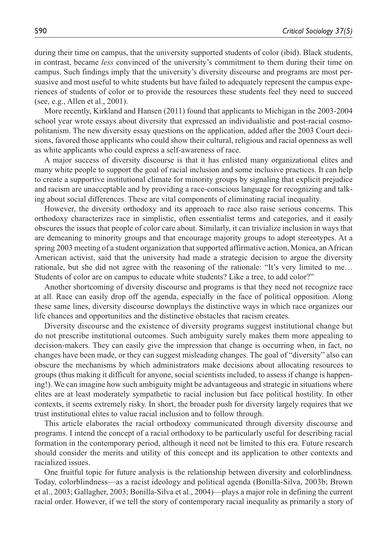during their time on campus, that the university supported students of color (ibid). Black students, in contrast, became *less* convinced of the university's commitment to them during their time on campus. Such findings imply that the university's diversity discourse and programs are most persuasive and most useful to white students but have failed to adequately represent the campus experiences of students of color or to provide the resources these students feel they need to succeed (see, e.g., Allen et al., 2001).

More recently, Kirkland and Hansen (2011) found that applicants to Michigan in the 2003-2004 school year wrote essays about diversity that expressed an individualistic and post-racial cosmopolitanism. The new diversity essay questions on the application, added after the 2003 Court decisions, favored those applicants who could show their cultural, religious and racial openness as well as white applicants who could express a self-awareness of race.

A major success of diversity discourse is that it has enlisted many organizational elites and many white people to support the goal of racial inclusion and some inclusive practices. It can help to create a supportive institutional climate for minority groups by signaling that explicit prejudice and racism are unacceptable and by providing a race-conscious language for recognizing and talking about social differences. These are vital components of eliminating racial inequality.

However, the diversity orthodoxy and its approach to race also raise serious concerns. This orthodoxy characterizes race in simplistic, often essentialist terms and categories, and it easily obscures the issues that people of color care about. Similarly, it can trivialize inclusion in ways that are demeaning to minority groups and that encourage majority groups to adopt stereotypes. At a spring 2003 meeting of a student organization that supported affirmative action, Monica, an African American activist, said that the university had made a strategic decision to argue the diversity rationale, but she did not agree with the reasoning of the rationale: "It's very limited to me… Students of color are on campus to educate white students? Like a tree, to add color?"

Another shortcoming of diversity discourse and programs is that they need not recognize race at all. Race can easily drop off the agenda, especially in the face of political opposition. Along these same lines, diversity discourse downplays the distinctive ways in which race organizes our life chances and opportunities and the distinctive obstacles that racism creates.

Diversity discourse and the existence of diversity programs suggest institutional change but do not prescribe institutional outcomes. Such ambiguity surely makes them more appealing to decision-makers. They can easily give the impression that change is occurring when, in fact, no changes have been made, or they can suggest misleading changes. The goal of "diversity" also can obscure the mechanisms by which administrators make decisions about allocating resources to groups (thus making it difficult for anyone, social scientists included, to assess if change is happening!). We can imagine how such ambiguity might be advantageous and strategic in situations where elites are at least moderately sympathetic to racial inclusion but face political hostility. In other contexts, it seems extremely risky. In short, the broader push for diversity largely requires that we trust institutional elites to value racial inclusion and to follow through.

This article elaborates the racial orthodoxy communicated through diversity discourse and programs. I intend the concept of a racial orthodoxy to be particularly useful for describing racial formation in the contemporary period, although it need not be limited to this era. Future research should consider the merits and utility of this concept and its application to other contexts and racialized issues.

One fruitful topic for future analysis is the relationship between diversity and colorblindness. Today, colorblindness—as a racist ideology and political agenda (Bonilla-Silva, 2003b; Brown et al., 2003; Gallagher, 2003; Bonilla-Silva et al., 2004)—plays a major role in defining the current racial order. However, if we tell the story of contemporary racial inequality as primarily a story of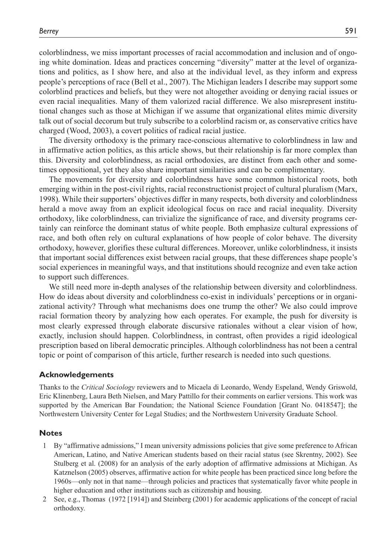colorblindness, we miss important processes of racial accommodation and inclusion and of ongoing white domination. Ideas and practices concerning "diversity" matter at the level of organizations and politics, as I show here, and also at the individual level, as they inform and express people's perceptions of race (Bell et al., 2007). The Michigan leaders I describe may support some colorblind practices and beliefs, but they were not altogether avoiding or denying racial issues or even racial inequalities. Many of them valorized racial difference. We also misrepresent institutional changes such as those at Michigan if we assume that organizational elites mimic diversity talk out of social decorum but truly subscribe to a colorblind racism or, as conservative critics have charged (Wood, 2003), a covert politics of radical racial justice.

The diversity orthodoxy is the primary race-conscious alternative to colorblindness in law and in affirmative action politics, as this article shows, but their relationship is far more complex than this. Diversity and colorblindness, as racial orthodoxies, are distinct from each other and sometimes oppositional, yet they also share important similarities and can be complimentary.

The movements for diversity and colorblindness have some common historical roots, both emerging within in the post-civil rights, racial reconstructionist project of cultural pluralism (Marx, 1998). While their supporters' objectives differ in many respects, both diversity and colorblindness herald a move away from an explicit ideological focus on race and racial inequality. Diversity orthodoxy, like colorblindness, can trivialize the significance of race, and diversity programs certainly can reinforce the dominant status of white people. Both emphasize cultural expressions of race, and both often rely on cultural explanations of how people of color behave. The diversity orthodoxy, however, glorifies these cultural differences. Moreover, unlike colorblindness, it insists that important social differences exist between racial groups, that these differences shape people's social experiences in meaningful ways, and that institutions should recognize and even take action to support such differences.

We still need more in-depth analyses of the relationship between diversity and colorblindness. How do ideas about diversity and colorblindness co-exist in individuals' perceptions or in organizational activity? Through what mechanisms does one trump the other? We also could improve racial formation theory by analyzing how each operates. For example, the push for diversity is most clearly expressed through elaborate discursive rationales without a clear vision of how, exactly, inclusion should happen. Colorblindness, in contrast, often provides a rigid ideological prescription based on liberal democratic principles. Although colorblindness has not been a central topic or point of comparison of this article, further research is needed into such questions.

#### **Acknowledgements**

Thanks to the *Critical Sociology* reviewers and to Micaela di Leonardo, Wendy Espeland, Wendy Griswold, Eric Klinenberg, Laura Beth Nielsen, and Mary Pattillo for their comments on earlier versions. This work was supported by the American Bar Foundation; the National Science Foundation [Grant No. 0418547]; the Northwestern University Center for Legal Studies; and the Northwestern University Graduate School.

#### **Notes**

- 1 By "affirmative admissions," I mean university admissions policies that give some preference to African American, Latino, and Native American students based on their racial status (see Skrentny, 2002). See Stulberg et al. (2008) for an analysis of the early adoption of affirmative admissions at Michigan. As Katznelson (2005) observes, affirmative action for white people has been practiced since long before the 1960s—only not in that name—through policies and practices that systematically favor white people in higher education and other institutions such as citizenship and housing.
- 2 See, e.g., Thomas (1972 [1914]) and Steinberg (2001) for academic applications of the concept of racial orthodoxy.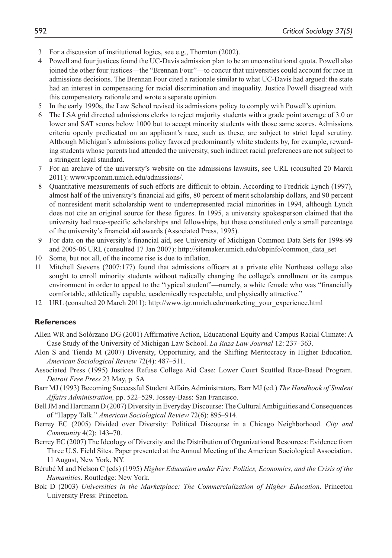- 3 For a discussion of institutional logics, see e.g., Thornton (2002).
- 4 Powell and four justices found the UC-Davis admission plan to be an unconstitutional quota. Powell also joined the other four justices—the "Brennan Four"—to concur that universities could account for race in admissions decisions. The Brennan Four cited a rationale similar to what UC-Davis had argued: the state had an interest in compensating for racial discrimination and inequality. Justice Powell disagreed with this compensatory rationale and wrote a separate opinion.
- 5 In the early 1990s, the Law School revised its admissions policy to comply with Powell's opinion*.*
- 6 The LSA grid directed admissions clerks to reject majority students with a grade point average of 3.0 or lower and SAT scores below 1000 but to accept minority students with those same scores. Admissions criteria openly predicated on an applicant's race, such as these, are subject to strict legal scrutiny. Although Michigan's admissions policy favored predominantly white students by, for example, rewarding students whose parents had attended the university, such indirect racial preferences are not subject to a stringent legal standard.
- 7 For an archive of the university's website on the admissions lawsuits, see URL (consulted 20 March 2011): www.vpcomm.umich.edu/admissions/.
- 8 Quantitative measurements of such efforts are difficult to obtain. According to Fredrick Lynch (1997), almost half of the university's financial aid gifts, 80 percent of merit scholarship dollars, and 90 percent of nonresident merit scholarship went to underrepresented racial minorities in 1994, although Lynch does not cite an original source for these figures. In 1995, a university spokesperson claimed that the university had race-specific scholarships and fellowships, but these constituted only a small percentage of the university's financial aid awards (Associated Press, 1995).
- 9 For data on the university's financial aid, see University of Michigan Common Data Sets for 1998-99 and 2005-06 URL (consulted 17 Jan 2007): http://sitemaker.umich.edu/obpinfo/common\_data\_set
- 10 Some, but not all, of the income rise is due to inflation.
- 11 Mitchell Stevens (2007:177) found that admissions officers at a private elite Northeast college also sought to enroll minority students without radically changing the college's enrollment or its campus environment in order to appeal to the "typical student"—namely, a white female who was "financially comfortable, athletically capable, academically respectable, and physically attractive."
- 12 URL (consulted 20 March 2011): http://www.igr.umich.edu/marketing\_your\_experience.html

#### **References**

- Allen WR and Solórzano DG (2001) Affirmative Action, Educational Equity and Campus Racial Climate: A Case Study of the University of Michigan Law School. *La Raza Law Journal* 12: 237–363.
- Alon S and Tienda M (2007) Diversity, Opportunity, and the Shifting Meritocracy in Higher Education. *American Sociological Review* 72(4): 487–511.
- Associated Press (1995) Justices Refuse College Aid Case: Lower Court Scuttled Race-Based Program. *Detroit Free Press* 23 May, p. 5A
- Barr MJ (1993) Becoming Successful Student Affairs Administrators. Barr MJ (ed.) *The Handbook of Student Affairs Administration,* pp. 522–529. Jossey-Bass: San Francisco.
- Bell JM and Hartmann D (2007) Diversity in Everyday Discourse: The Cultural Ambiguities and Consequences of "Happy Talk." *American Sociological Review* 72(6): 895–914.
- Berrey EC (2005) Divided over Diversity: Political Discourse in a Chicago Neighborhood. *City and Community* 4(2): 143–70.
- Berrey EC (2007) The Ideology of Diversity and the Distribution of Organizational Resources: Evidence from Three U.S. Field Sites. Paper presented at the Annual Meeting of the American Sociological Association, 11 August, New York, NY.
- Bérubé M and Nelson C (eds) (1995) *Higher Education under Fire: Politics, Economics, and the Crisis of the Humanities*. Routledge: New York.
- Bok D (2003) *Universities in the Marketplace: The Commercialization of Higher Education*. Princeton University Press: Princeton.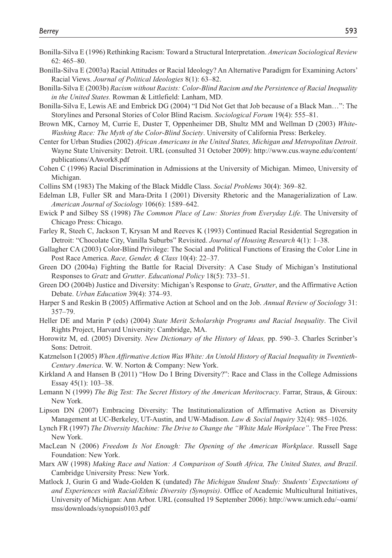- Bonilla-Silva E (1996) Rethinking Racism: Toward a Structural Interpretation. *American Sociological Review*  62: 465–80.
- Bonilla-Silva E (2003a) Racial Attitudes or Racial Ideology? An Alternative Paradigm for Examining Actors' Racial Views. *Journal of Political Ideologies* 8(1): 63–82.
- Bonilla-Silva E (2003b) *Racism without Racists: Color-Blind Racism and the Persistence of Racial Inequality in the United States.* Rowman & Littlefield: Lanham, MD.
- Bonilla-Silva E, Lewis AE and Embrick DG (2004) "I Did Not Get that Job because of a Black Man…": The Storylines and Personal Stories of Color Blind Racism. *Sociological Forum* 19(4): 555–81.
- Brown MK, Carnoy M, Currie E, Duster T, Oppenheimer DB, Shultz MM and Wellman D (2003) *White-Washing Race: The Myth of the Color-Blind Society*. University of California Press: Berkeley.
- Center for Urban Studies (2002) *African Americans in the United States, Michigan and Metropolitan Detroit*. Wayne State University: Detroit. URL (consulted 31 October 2009): http://www.cus.wayne.edu/content/ publications/AAwork8.pdf
- Cohen C (1996) Racial Discrimination in Admissions at the University of Michigan. Mimeo, University of Michigan.
- Collins SM (1983) The Making of the Black Middle Class. *Social Problems* 30(4): 369–82.
- Edelman LB, Fuller SR and Mara-Drita I (2001) Diversity Rhetoric and the Managerialization of Law. *American Journal of Sociology* 106(6): 1589–642.
- Ewick P and Silbey SS (1998) *The Common Place of Law: Stories from Everyday Life*. The University of Chicago Press: Chicago.
- Farley R, Steeh C, Jackson T, Krysan M and Reeves K (1993) Continued Racial Residential Segregation in Detroit: "Chocolate City, Vanilla Suburbs" Revisited. *Journal of Housing Research* 4(1): 1–38.
- Gallagher CA (2003) Color-Blind Privilege: The Social and Political Functions of Erasing the Color Line in Post Race America. *Race, Gender, & Class* 10(4): 22–37.
- Green DO (2004a) Fighting the Battle for Racial Diversity: A Case Study of Michigan's Institutional Responses to *Gratz* and *Grutter*. *Educational Policy* 18(5): 733–51.
- Green DO (2004b) Justice and Diversity: Michigan's Response to *Gratz*, *Grutter*, and the Affirmative Action Debate. *Urban Education* 39(4): 374–93.
- Harper S and Reskin B (2005) Affirmative Action at School and on the Job. *Annual Review of Sociology* 31: 357–79.
- Heller DE and Marin P (eds) (2004) *State Merit Scholarship Programs and Racial Inequality*. The Civil Rights Project, Harvard University: Cambridge, MA.
- Horowitz M, ed. (2005) Diversity. *New Dictionary of the History of Ideas,* pp. 590–3. Charles Scrinber's Sons: Detroit.
- Katznelson I (2005) *When Affirmative Action Was White: An Untold History of Racial Inequality in Twentieth-Century America*. W. W. Norton & Company: New York.
- Kirkland A and Hansen B (2011) "How Do I Bring Diversity?": Race and Class in the College Admissions Essay 45(1): 103–38.
- Lemann N (1999) *The Big Test: The Secret History of the American Meritocracy*. Farrar, Straus, & Giroux: New York.
- Lipson DN (2007) Embracing Diversity: The Institutionalization of Affirmative Action as Diversity Management at UC-Berkeley, UT-Austin, and UW-Madison. *Law & Social Inquiry* 32(4): 985–1026.
- Lynch FR (1997) *The Diversity Machine: The Drive to Change the "White Male Workplace"*. The Free Press: New York.
- MacLean N (2006) *Freedom Is Not Enough: The Opening of the American Workplace*. Russell Sage Foundation: New York.
- Marx AW (1998) *Making Race and Nation: A Comparison of South Africa, The United States, and Brazil*. Cambridge University Press: New York.
- Matlock J, Gurin G and Wade-Golden K (undated) *The Michigan Student Study: Students' Expectations of and Experiences with Racial/Ethnic Diversity (Synopsis)*. Office of Academic Multicultural Initiatives, University of Michigan: Ann Arbor. URL (consulted 19 September 2006): http://www.umich.edu/~oami/ mss/downloads/synopsis0103.pdf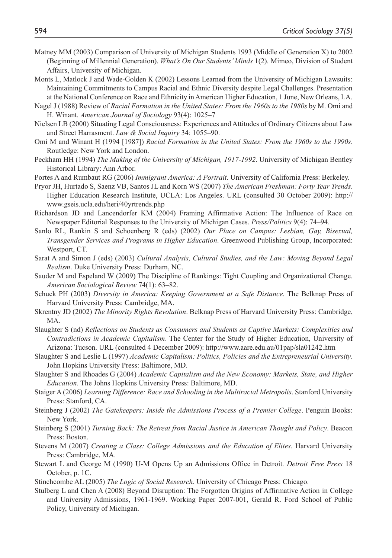- Matney MM (2003) Comparison of University of Michigan Students 1993 (Middle of Generation X) to 2002 (Beginning of Millennial Generation). *What's On Our Students' Minds* 1(2). Mimeo, Division of Student Affairs, University of Michigan.
- Monts L, Matlock J and Wade-Golden K (2002) Lessons Learned from the University of Michigan Lawsuits: Maintaining Commitments to Campus Racial and Ethnic Diversity despite Legal Challenges. Presentation at the National Conference on Race and Ethnicity in American Higher Education, 1 June, New Orleans, LA.
- Nagel J (1988) Review of *Racial Formation in the United States: From the 1960s to the 1980s* by M. Omi and H. Winant. *American Journal of Sociology* 93(4): 1025–7
- Nielsen LB (2000) Situating Legal Consciousness: Experiences and Attitudes of Ordinary Citizens about Law and Street Harrasment. *Law & Social Inquiry* 34: 1055–90.
- Omi M and Winant H (1994 [1987]) *Racial Formation in the United States: From the 1960s to the 1990s*. Routledge: New York and London.
- Peckham HH (1994) *The Making of the University of Michigan, 1917-1992*. University of Michigan Bentley Historical Library: Ann Arbor.
- Portes A and Rumbaut RG (2006) *Immigrant America: A Portrait*. University of California Press: Berkeley.
- Pryor JH, Hurtado S, Saenz VB, Santos JL and Korn WS (2007) *The American Freshman: Forty Year Trends*. Higher Education Research Institute, UCLA: Los Angeles. URL (consulted 30 October 2009): http:// www.gseis.ucla.edu/heri/40yrtrends.php
- Richardson JD and Lancendorfer KM (2004) Framing Affirmative Action: The Influence of Race on Newspaper Editorial Responses to the University of Michigan Cases. *Press/Politics* 9(4): 74–94.
- Sanlo RL, Rankin S and Schoenberg R (eds) (2002) *Our Place on Campus: Lesbian, Gay, Bisexual, Transgender Services and Programs in Higher Education*. Greenwood Publishing Group, Incorporated: Westport, CT.
- Sarat A and Simon J (eds) (2003) *Cultural Analysis, Cultural Studies, and the Law: Moving Beyond Legal Realism*. Duke University Press: Durham, NC.
- Sauder M and Espeland W (2009) The Discipline of Rankings: Tight Coupling and Organizational Change. *American Sociological Review* 74(1): 63–82.
- Schuck PH (2003) *Diversity in America: Keeping Government at a Safe Distance*. The Belknap Press of Harvard University Press: Cambridge, MA.
- Skrentny JD (2002) *The Minority Rights Revolution*. Belknap Press of Harvard University Press: Cambridge, MA.
- Slaughter S (nd) *Reflections on Students as Consumers and Students as Captive Markets: Complexities and Contradictions in Academic Capitalism*. The Center for the Study of Higher Education, University of Arizona: Tucson. URL (consulted 4 December 2009): http://www.aare.edu.au/01pap/sla01242.htm
- Slaughter S and Leslie L (1997) *Academic Capitalism: Politics, Policies and the Entrepreneurial University*. John Hopkins University Press: Baltimore, MD.
- Slaughter S and Rhoades G (2004) *Academic Capitalism and the New Economy: Markets, State, and Higher Education*. The Johns Hopkins University Press: Baltimore, MD.
- Staiger A (2006) *Learning Difference: Race and Schooling in the Multiracial Metropolis*. Stanford University Press: Stanford, CA.
- Steinberg J (2002) *The Gatekeepers: Inside the Admissions Process of a Premier College*. Penguin Books: New York.
- Steinberg S (2001) *Turning Back: The Retreat from Racial Justice in American Thought and Policy*. Beacon Press: Boston.
- Stevens M (2007) *Creating a Class: College Admissions and the Education of Elites*. Harvard University Press: Cambridge, MA.
- Stewart L and George M (1990) U-M Opens Up an Admissions Office in Detroit. *Detroit Free Press* 18 October, p. 1C.
- Stinchcombe AL (2005) *The Logic of Social Research*. University of Chicago Press: Chicago.
- Stulberg L and Chen A (2008) Beyond Disruption: The Forgotten Origins of Affirmative Action in College and University Admissions, 1961-1969. Working Paper 2007-001, Gerald R. Ford School of Public Policy, University of Michigan.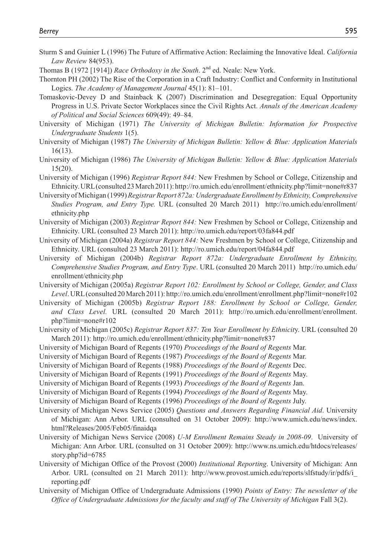- Sturm S and Guinier L (1996) The Future of Affirmative Action: Reclaiming the Innovative Ideal. *California Law Review* 84(953).
- Thomas B (1972 [1914]) *Race Orthodoxy in the South*. 2<sup>nd</sup> ed. Neale: New York.
- Thornton PH (2002) The Rise of the Corporation in a Craft Industry: Conflict and Conformity in Institutional Logics. *The Academy of Management Journal* 45(1): 81–101.
- Tomaskovic-Devey D and Stainback K (2007) Discrimination and Desegregation: Equal Opportunity Progress in U.S. Private Sector Workplaces since the Civil Rights Act. *Annals of the American Academy of Political and Social Sciences* 609(49): 49–84.
- University of Michigan (1971) *The University of Michigan Bulletin: Information for Prospective Undergraduate Students* 1(5).
- University of Michigan (1987) *The University of Michigan Bulletin: Yellow & Blue: Application Materials*  16(13).
- University of Michigan (1986) *The University of Michigan Bulletin: Yellow & Blue: Application Materials*  15(20).
- University of Michigan (1996) *Registrar Report 844:* New Freshmen by School or College, Citizenship and Ethnicity. URL (consulted 23 March 2011): http://ro.umich.edu/enrollment/ethnicity.php?limit=none#r837
- University of Michigan (1999) *Registrar Report 872a: Undergraduate Enrollment by Ethnicity, Comprehensive Studies Program, and Entry Type.* URL (consulted 20 March 2011) http://ro.umich.edu/enrollment/ ethnicity.php
- University of Michigan (2003) *Registrar Report 844:* New Freshmen by School or College, Citizenship and Ethnicity. URL (consulted 23 March 2011): http://ro.umich.edu/report/03fa844.pdf
- University of Michigan (2004a) *Registrar Report 844:* New Freshmen by School or College, Citizenship and Ethnicity. URL (consulted 23 March 2011): http://ro.umich.edu/report/04fa844.pdf
- University of Michigan (2004b) *Registrar Report 872a: Undergraduate Enrollment by Ethnicity, Comprehensive Studies Program, and Entry Type*. URL (consulted 20 March 2011) http://ro.umich.edu/ enrollment/ethnicity.php
- University of Michigan (2005a) *Registrar Report 102: Enrollment by School or College, Gender, and Class Level*. URL (consulted 20 March 2011): http://ro.umich.edu/enrollment/enrollment.php?limit=none#r102
- University of Michigan (2005b) *Registrar Report 188: Enrollment by School or College, Gender, and Class Level.* URL (consulted 20 March 2011): http://ro.umich.edu/enrollment/enrollment. php?limit=none#r102
- University of Michigan (2005c) *Registrar Report 837: Ten Year Enrollment by Ethnicit*y. URL (consulted 20 March 2011): http://ro.umich.edu/enrollment/ethnicity.php?limit=none#r837
- University of Michigan Board of Regents (1970) *Proceedings of the Board of Regents* Mar.
- University of Michigan Board of Regents (1987) *Proceedings of the Board of Regents* Mar.
- University of Michigan Board of Regents (1988) *Proceedings of the Board of Regents* Dec.
- University of Michigan Board of Regents (1991) *Proceedings of the Board of Regents* May.
- University of Michigan Board of Regents (1993) *Proceedings of the Board of Regents* Jan.
- University of Michigan Board of Regents (1994) *Proceedings of the Board of Regents* May.
- University of Michigan Board of Regents (1996) *Proceedings of the Board of Regents* July.
- University of Michigan News Service (2005) *Questions and Answers Regarding Financial Aid*. University of Michigan: Ann Arbor. URL (consulted on 31 October 2009): http://www.umich.edu/news/index. html?Releases/2005/Feb05/finaidqa
- University of Michigan News Service (2008) *U-M Enrollment Remains Steady in 2008-09*. University of Michigan: Ann Arbor. URL (consulted on 31 October 2009): http://www.ns.umich.edu/htdocs/releases/ story.php?id=6785
- University of Michigan Office of the Provost (2000) *Institutional Reporting*. University of Michigan: Ann Arbor. URL (consulted on 21 March 2011): http://www.provost.umich.edu/reports/slfstudy/ir/pdfs/i\_ reporting.pdf
- University of Michigan Office of Undergraduate Admissions (1990) *Points of Entry: The newsletter of the Office of Undergraduate Admissions for the faculty and staff of The University of Michigan* Fall 3(2).